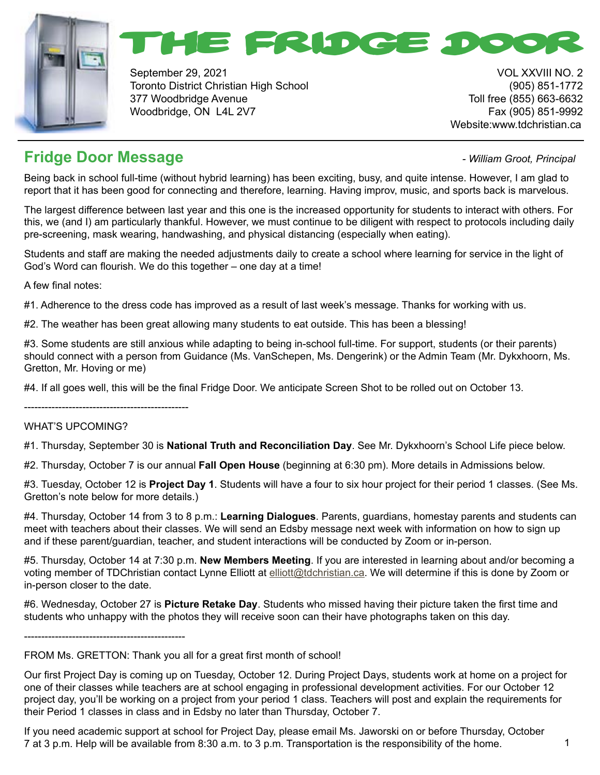



September 29, 2021 VOL XXVIII NO. 2 Toronto District Christian High School (905) 851-1772 377 Woodbridge Avenue Toll free (855) 663-6632 Woodbridge, ON L4L 2V7 Fax (905) 851-9992

Website:www.tdchristian.ca

# **Fridge Door Message**  *and the contract of the contract of the Milliam Groot, Principal*

Being back in school full-time (without hybrid learning) has been exciting, busy, and quite intense. However, I am glad to report that it has been good for connecting and therefore, learning. Having improv, music, and sports back is marvelous.

The largest difference between last year and this one is the increased opportunity for students to interact with others. For this, we (and I) am particularly thankful. However, we must continue to be diligent with respect to protocols including daily pre-screening, mask wearing, handwashing, and physical distancing (especially when eating).

Students and staff are making the needed adjustments daily to create a school where learning for service in the light of God's Word can flourish. We do this together – one day at a time!

A few final notes:

#1. Adherence to the dress code has improved as a result of last week's message. Thanks for working with us.

#2. The weather has been great allowing many students to eat outside. This has been a blessing!

#3. Some students are still anxious while adapting to being in-school full-time. For support, students (or their parents) should connect with a person from Guidance (Ms. VanSchepen, Ms. Dengerink) or the Admin Team (Mr. Dykxhoorn, Ms. Gretton, Mr. Hoving or me)

#4. If all goes well, this will be the final Fridge Door. We anticipate Screen Shot to be rolled out on October 13.

------------------------------------------------

#### WHAT'S UPCOMING?

#1. Thursday, September 30 is **National Truth and Reconciliation Day**. See Mr. Dykxhoorn's School Life piece below.

#2. Thursday, October 7 is our annual **Fall Open House** (beginning at 6:30 pm). More details in Admissions below.

#3. Tuesday, October 12 is **Project Day 1**. Students will have a four to six hour project for their period 1 classes. (See Ms. Gretton's note below for more details.)

#4. Thursday, October 14 from 3 to 8 p.m.: **Learning Dialogues**. Parents, guardians, homestay parents and students can meet with teachers about their classes. We will send an Edsby message next week with information on how to sign up and if these parent/guardian, teacher, and student interactions will be conducted by Zoom or in-person.

#5. Thursday, October 14 at 7:30 p.m. **New Members Meeting**. If you are interested in learning about and/or becoming a voting member of TDChristian contact Lynne Elliott at [elliott@tdchristian.ca](mailto:elliott%40tdchristian.ca?subject=). We will determine if this is done by Zoom or in-person closer to the date.

#6. Wednesday, October 27 is **Picture Retake Day**. Students who missed having their picture taken the first time and students who unhappy with the photos they will receive soon can their have photographs taken on this day.

-----------------------------------------------

# FROM Ms. GRETTON: Thank you all for a great first month of school!

Our first Project Day is coming up on Tuesday, October 12. During Project Days, students work at home on a project for one of their classes while teachers are at school engaging in professional development activities. For our October 12 project day, you'll be working on a project from your period 1 class. Teachers will post and explain the requirements for their Period 1 classes in class and in Edsby no later than Thursday, October 7.

If you need academic support at school for Project Day, please email Ms. Jaworski on or before Thursday, October 7 at 3 p.m. Help will be available from 8:30 a.m. to 3 p.m. Transportation is the responsibility of the home.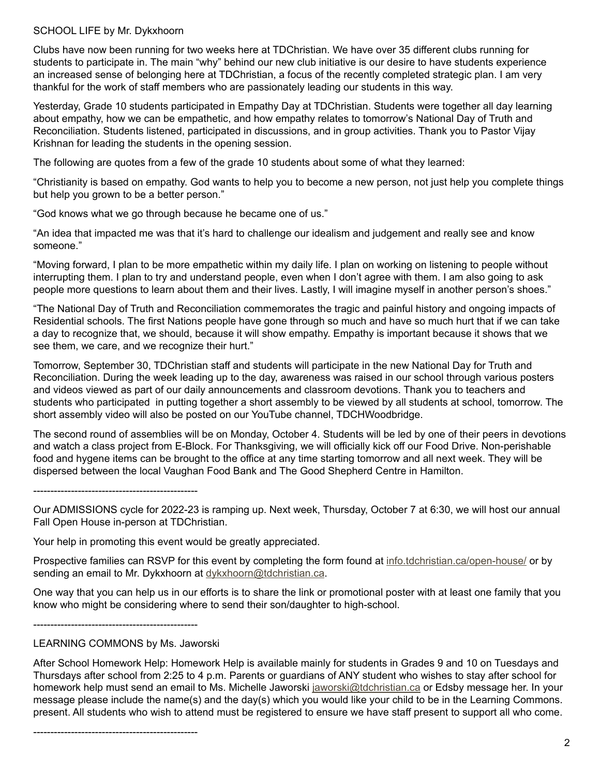#### SCHOOL LIFE by Mr. Dykxhoorn

Clubs have now been running for two weeks here at TDChristian. We have over 35 different clubs running for students to participate in. The main "why" behind our new club initiative is our desire to have students experience an increased sense of belonging here at TDChristian, a focus of the recently completed strategic plan. I am very thankful for the work of staff members who are passionately leading our students in this way.

Yesterday, Grade 10 students participated in Empathy Day at TDChristian. Students were together all day learning about empathy, how we can be empathetic, and how empathy relates to tomorrow's National Day of Truth and Reconciliation. Students listened, participated in discussions, and in group activities. Thank you to Pastor Vijay Krishnan for leading the students in the opening session.

The following are quotes from a few of the grade 10 students about some of what they learned:

"Christianity is based on empathy. God wants to help you to become a new person, not just help you complete things but help you grown to be a better person."

"God knows what we go through because he became one of us."

"An idea that impacted me was that it's hard to challenge our idealism and judgement and really see and know someone."

"Moving forward, I plan to be more empathetic within my daily life. I plan on working on listening to people without interrupting them. I plan to try and understand people, even when I don't agree with them. I am also going to ask people more questions to learn about them and their lives. Lastly, I will imagine myself in another person's shoes."

"The National Day of Truth and Reconciliation commemorates the tragic and painful history and ongoing impacts of Residential schools. The first Nations people have gone through so much and have so much hurt that if we can take a day to recognize that, we should, because it will show empathy. Empathy is important because it shows that we see them, we care, and we recognize their hurt."

Tomorrow, September 30, TDChristian staff and students will participate in the new National Day for Truth and Reconciliation. During the week leading up to the day, awareness was raised in our school through various posters and videos viewed as part of our daily announcements and classroom devotions. Thank you to teachers and students who participated in putting together a short assembly to be viewed by all students at school, tomorrow. The short assembly video will also be posted on our YouTube channel, TDCHWoodbridge.

The second round of assemblies will be on Monday, October 4. Students will be led by one of their peers in devotions and watch a class project from E-Block. For Thanksgiving, we will officially kick off our Food Drive. Non-perishable food and hygene items can be brought to the office at any time starting tomorrow and all next week. They will be dispersed between the local Vaughan Food Bank and The Good Shepherd Centre in Hamilton.

------------------------------------------------

Our ADMISSIONS cycle for 2022-23 is ramping up. Next week, Thursday, October 7 at 6:30, we will host our annual Fall Open House in-person at TDChristian.

Your help in promoting this event would be greatly appreciated.

Prospective families can RSVP for this event by completing the form found at [info.tdchristian.ca/open-house/](http://info.tdchristian.ca/open-house/) or by sending an email to Mr. Dykxhoorn at [dykxhoorn@tdchristian.ca](mailto:dykxhoorn%40tdchristian.ca?subject=).

One way that you can help us in our efforts is to share the link or promotional poster with at least one family that you know who might be considering where to send their son/daughter to high-school.

------------------------------------------------

#### LEARNING COMMONS by Ms. Jaworski

After School Homework Help: Homework Help is available mainly for students in Grades 9 and 10 on Tuesdays and Thursdays after school from 2:25 to 4 p.m. Parents or guardians of ANY student who wishes to stay after school for homework help must send an email to Ms. Michelle Jaworski [jaworski@tdchristian.ca](mailto:jaworski%40tdchristian.ca?subject=) or Edsby message her. In your message please include the name(s) and the day(s) which you would like your child to be in the Learning Commons. present. All students who wish to attend must be registered to ensure we have staff present to support all who come.

------------------------------------------------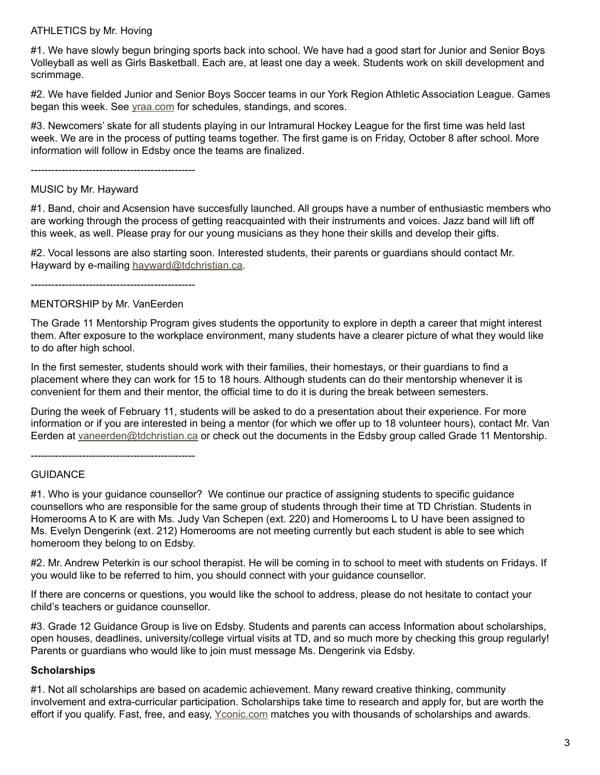#### ATHLETICS by Mr. Hoving

#1. We have slowly begun bringing sports back into school. We have had a good start for Junior and Senior Boys Volleyball as well as Girls Basketball. Each are, at least one day a week. Students work on skill development and scrimmage.

#2. We have fielded Junior and Senior Boys Soccer teams in our York Region Athletic Association League. Games began this week. See [yraa.com](http://yraa.com) for schedules, standings, and scores.

#3. Newcomers' skate for all students playing in our Intramural Hockey League for the first time was held last week. We are in the process of putting teams together. The first game is on Friday, October 8 after school. More information will follow in Edsby once the teams are finalized.

------------------------------------------------

#### MUSIC by Mr. Hayward

#1. Band, choir and Acsension have succesfully launched. All groups have a number of enthusiastic members who are working through the process of getting reacquainted with their instruments and voices. Jazz band will lift off this week, as well. Please pray for our young musicians as they hone their skills and develop their gifts.

#2. Vocal lessons are also starting soon. Interested students, their parents or guardians should contact Mr. Hayward by e-mailing [hayward@tdchristian.ca.](mailto:hayward%40tdchristian.ca?subject=)

------------------------------------------------

#### MENTORSHIP by Mr. VanEerden

The Grade 11 Mentorship Program gives students the opportunity to explore in depth a career that might interest them. After exposure to the workplace environment, many students have a clearer picture of what they would like to do after high school.

In the first semester, students should work with their families, their homestays, or their guardians to find a placement where they can work for 15 to 18 hours. Although students can do their mentorship whenever it is convenient for them and their mentor, the official time to do it is during the break between semesters.

During the week of February 11, students will be asked to do a presentation about their experience. For more information or if you are interested in being a mentor (for which we offer up to 18 volunteer hours), contact Mr. Van Eerden at [vaneerden@tdchristian.ca](mailto:vaneerden%40tdchristian.ca?subject=) or check out the documents in the Edsby group called Grade 11 Mentorship.

------------------------------------------------

#### **GUIDANCE**

#1. Who is your guidance counsellor? We continue our practice of assigning students to specific guidance counsellors who are responsible for the same group of students through their time at TD Christian. Students in Homerooms A to K are with Ms. Judy Van Schepen (ext. 220) and Homerooms L to U have been assigned to Ms. Evelyn Dengerink (ext. 212) Homerooms are not meeting currently but each student is able to see which homeroom they belong to on Edsby.

#2. Mr. Andrew Peterkin is our school therapist. He will be coming in to school to meet with students on Fridays. If you would like to be referred to him, you should connect with your guidance counsellor.

If there are concerns or questions, you would like the school to address, please do not hesitate to contact your child's teachers or guidance counsellor.

#3. Grade 12 Guidance Group is live on Edsby. Students and parents can access Information about scholarships, open houses, deadlines, university/college virtual visits at TD, and so much more by checking this group regularly! Parents or guardians who would like to join must message Ms. Dengerink via Edsby.

#### **Scholarships**

#1. Not all scholarships are based on academic achievement. Many reward creative thinking, community involvement and extra-curricular participation. Scholarships take time to research and apply for, but are worth the effort if you qualify. Fast, free, and easy, [Yconic.com](http://Yconic.com) matches you with thousands of scholarships and awards.